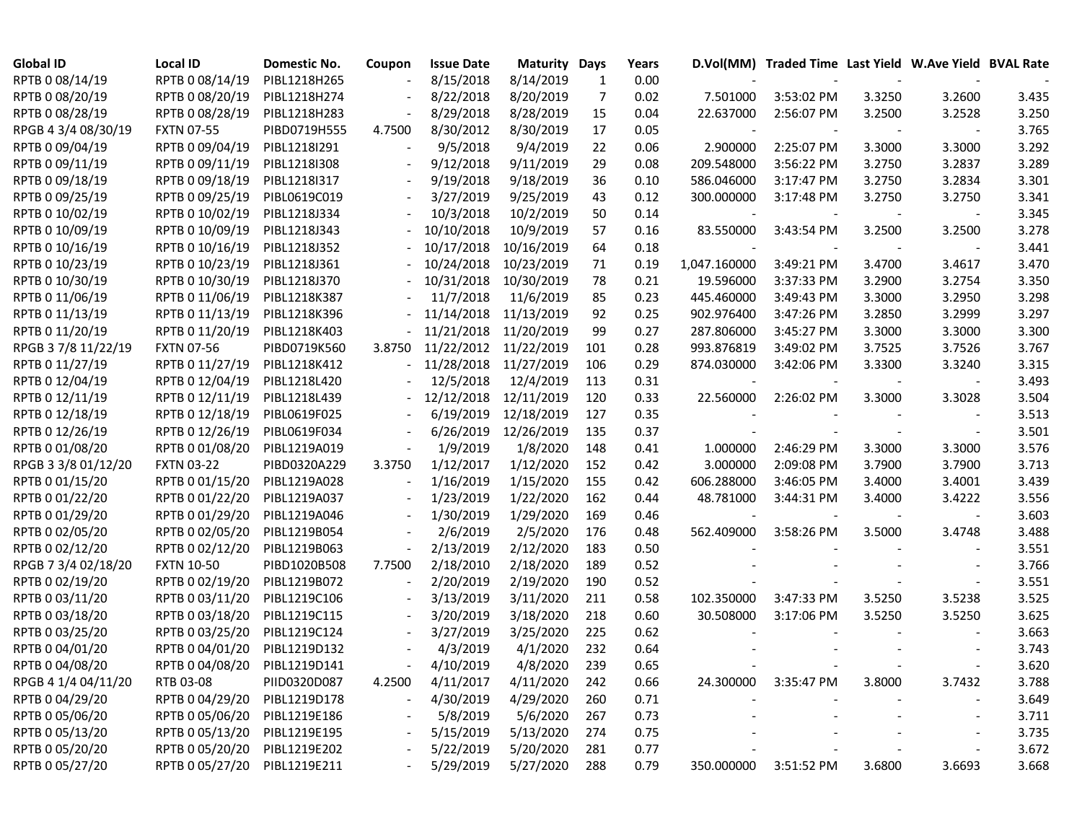| <b>Global ID</b>    | Local ID                     | Domestic No. | Coupon                   | <b>Issue Date</b> | <b>Maturity Days</b> |     | Years |              | D.Vol(MM) Traded Time Last Yield W.Ave Yield BVAL Rate |        |                          |       |
|---------------------|------------------------------|--------------|--------------------------|-------------------|----------------------|-----|-------|--------------|--------------------------------------------------------|--------|--------------------------|-------|
| RPTB 0 08/14/19     | RPTB 0 08/14/19              | PIBL1218H265 |                          | 8/15/2018         | 8/14/2019            | 1   | 0.00  |              |                                                        |        |                          |       |
| RPTB 0 08/20/19     | RPTB 0 08/20/19              | PIBL1218H274 |                          | 8/22/2018         | 8/20/2019            | 7   | 0.02  | 7.501000     | 3:53:02 PM                                             | 3.3250 | 3.2600                   | 3.435 |
| RPTB 0 08/28/19     | RPTB 0 08/28/19              | PIBL1218H283 |                          | 8/29/2018         | 8/28/2019            | 15  | 0.04  | 22.637000    | 2:56:07 PM                                             | 3.2500 | 3.2528                   | 3.250 |
| RPGB 4 3/4 08/30/19 | <b>FXTN 07-55</b>            | PIBD0719H555 | 4.7500                   | 8/30/2012         | 8/30/2019            | 17  | 0.05  |              |                                                        |        |                          | 3.765 |
| RPTB 0 09/04/19     | RPTB 0 09/04/19              | PIBL1218I291 |                          | 9/5/2018          | 9/4/2019             | 22  | 0.06  | 2.900000     | 2:25:07 PM                                             | 3.3000 | 3.3000                   | 3.292 |
| RPTB 0 09/11/19     | RPTB 0 09/11/19              | PIBL1218I308 |                          | 9/12/2018         | 9/11/2019            | 29  | 0.08  | 209.548000   | 3:56:22 PM                                             | 3.2750 | 3.2837                   | 3.289 |
| RPTB 0 09/18/19     | RPTB 0 09/18/19              | PIBL1218I317 |                          | 9/19/2018         | 9/18/2019            | 36  | 0.10  | 586.046000   | 3:17:47 PM                                             | 3.2750 | 3.2834                   | 3.301 |
| RPTB 0 09/25/19     | RPTB 0 09/25/19              | PIBL0619C019 |                          | 3/27/2019         | 9/25/2019            | 43  | 0.12  | 300.000000   | 3:17:48 PM                                             | 3.2750 | 3.2750                   | 3.341 |
| RPTB 0 10/02/19     | RPTB 0 10/02/19              | PIBL1218J334 |                          | 10/3/2018         | 10/2/2019            | 50  | 0.14  |              |                                                        |        |                          | 3.345 |
| RPTB 0 10/09/19     | RPTB 0 10/09/19              | PIBL1218J343 |                          | 10/10/2018        | 10/9/2019            | 57  | 0.16  | 83.550000    | 3:43:54 PM                                             | 3.2500 | 3.2500                   | 3.278 |
| RPTB 0 10/16/19     | RPTB 0 10/16/19              | PIBL1218J352 |                          | 10/17/2018        | 10/16/2019           | 64  | 0.18  |              |                                                        |        |                          | 3.441 |
| RPTB 0 10/23/19     | RPTB 0 10/23/19              | PIBL1218J361 |                          | 10/24/2018        | 10/23/2019           | 71  | 0.19  | 1,047.160000 | 3:49:21 PM                                             | 3.4700 | 3.4617                   | 3.470 |
| RPTB 0 10/30/19     | RPTB 0 10/30/19              | PIBL1218J370 |                          | 10/31/2018        | 10/30/2019           | 78  | 0.21  | 19.596000    | 3:37:33 PM                                             | 3.2900 | 3.2754                   | 3.350 |
| RPTB 0 11/06/19     | RPTB 0 11/06/19              | PIBL1218K387 |                          | 11/7/2018         | 11/6/2019            | 85  | 0.23  | 445.460000   | 3:49:43 PM                                             | 3.3000 | 3.2950                   | 3.298 |
| RPTB 0 11/13/19     | RPTB 0 11/13/19              | PIBL1218K396 |                          | 11/14/2018        | 11/13/2019           | 92  | 0.25  | 902.976400   | 3:47:26 PM                                             | 3.2850 | 3.2999                   | 3.297 |
| RPTB 0 11/20/19     | RPTB 0 11/20/19              | PIBL1218K403 |                          | 11/21/2018        | 11/20/2019           | 99  | 0.27  | 287.806000   | 3:45:27 PM                                             | 3.3000 | 3.3000                   | 3.300 |
| RPGB 37/8 11/22/19  | <b>FXTN 07-56</b>            | PIBD0719K560 | 3.8750                   | 11/22/2012        | 11/22/2019           | 101 | 0.28  | 993.876819   | 3:49:02 PM                                             | 3.7525 | 3.7526                   | 3.767 |
| RPTB 0 11/27/19     | RPTB 0 11/27/19              | PIBL1218K412 |                          | 11/28/2018        | 11/27/2019           | 106 | 0.29  | 874.030000   | 3:42:06 PM                                             | 3.3300 | 3.3240                   | 3.315 |
| RPTB 0 12/04/19     | RPTB 0 12/04/19              | PIBL1218L420 |                          | 12/5/2018         | 12/4/2019            | 113 | 0.31  |              |                                                        |        |                          | 3.493 |
| RPTB 0 12/11/19     | RPTB 0 12/11/19              | PIBL1218L439 |                          | 12/12/2018        | 12/11/2019           | 120 | 0.33  | 22.560000    | 2:26:02 PM                                             | 3.3000 | 3.3028                   | 3.504 |
| RPTB 0 12/18/19     | RPTB 0 12/18/19              | PIBL0619F025 |                          | 6/19/2019         | 12/18/2019           | 127 | 0.35  |              |                                                        |        |                          | 3.513 |
| RPTB 0 12/26/19     | RPTB 0 12/26/19              | PIBL0619F034 |                          | 6/26/2019         | 12/26/2019           | 135 | 0.37  |              |                                                        |        |                          | 3.501 |
| RPTB 0 01/08/20     | RPTB 0 01/08/20              | PIBL1219A019 |                          | 1/9/2019          | 1/8/2020             | 148 | 0.41  | 1.000000     | 2:46:29 PM                                             | 3.3000 | 3.3000                   | 3.576 |
| RPGB 3 3/8 01/12/20 | <b>FXTN 03-22</b>            | PIBD0320A229 | 3.3750                   | 1/12/2017         | 1/12/2020            | 152 | 0.42  | 3.000000     | 2:09:08 PM                                             | 3.7900 | 3.7900                   | 3.713 |
| RPTB 0 01/15/20     | RPTB 0 01/15/20              | PIBL1219A028 |                          | 1/16/2019         | 1/15/2020            | 155 | 0.42  | 606.288000   | 3:46:05 PM                                             | 3.4000 | 3.4001                   | 3.439 |
| RPTB 0 01/22/20     | RPTB 0 01/22/20              | PIBL1219A037 |                          | 1/23/2019         | 1/22/2020            | 162 | 0.44  | 48.781000    | 3:44:31 PM                                             | 3.4000 | 3.4222                   | 3.556 |
| RPTB 0 01/29/20     | RPTB 0 01/29/20              | PIBL1219A046 |                          | 1/30/2019         | 1/29/2020            | 169 | 0.46  |              |                                                        |        |                          | 3.603 |
| RPTB 0 02/05/20     | RPTB 0 02/05/20              | PIBL1219B054 |                          | 2/6/2019          | 2/5/2020             | 176 | 0.48  | 562.409000   | 3:58:26 PM                                             | 3.5000 | 3.4748                   | 3.488 |
| RPTB 0 02/12/20     | RPTB 0 02/12/20              | PIBL1219B063 |                          | 2/13/2019         | 2/12/2020            | 183 | 0.50  |              |                                                        |        |                          | 3.551 |
| RPGB 7 3/4 02/18/20 | <b>FXTN 10-50</b>            | PIBD1020B508 | 7.7500                   | 2/18/2010         | 2/18/2020            | 189 | 0.52  |              |                                                        |        |                          | 3.766 |
| RPTB 0 02/19/20     | RPTB 0 02/19/20              | PIBL1219B072 | $\overline{\phantom{a}}$ | 2/20/2019         | 2/19/2020            | 190 | 0.52  |              |                                                        |        |                          | 3.551 |
| RPTB 0 03/11/20     | RPTB 0 03/11/20              | PIBL1219C106 |                          | 3/13/2019         | 3/11/2020            | 211 | 0.58  | 102.350000   | 3:47:33 PM                                             | 3.5250 | 3.5238                   | 3.525 |
| RPTB 0 03/18/20     | RPTB 0 03/18/20              | PIBL1219C115 |                          | 3/20/2019         | 3/18/2020            | 218 | 0.60  | 30.508000    | 3:17:06 PM                                             | 3.5250 | 3.5250                   | 3.625 |
| RPTB 0 03/25/20     | RPTB 0 03/25/20              | PIBL1219C124 |                          | 3/27/2019         | 3/25/2020            | 225 | 0.62  |              |                                                        |        |                          | 3.663 |
| RPTB 0 04/01/20     | RPTB 0 04/01/20              | PIBL1219D132 |                          | 4/3/2019          | 4/1/2020             | 232 | 0.64  |              |                                                        |        |                          | 3.743 |
| RPTB 0 04/08/20     | RPTB 0 04/08/20 PIBL1219D141 |              |                          | 4/10/2019         | 4/8/2020             | 239 | 0.65  |              |                                                        |        |                          | 3.620 |
| RPGB 4 1/4 04/11/20 | RTB 03-08                    | PIID0320D087 | 4.2500                   | 4/11/2017         | 4/11/2020            | 242 | 0.66  | 24.300000    | 3:35:47 PM                                             | 3.8000 | 3.7432                   | 3.788 |
| RPTB 0 04/29/20     | RPTB 0 04/29/20              | PIBL1219D178 |                          | 4/30/2019         | 4/29/2020            | 260 | 0.71  |              |                                                        |        |                          | 3.649 |
| RPTB 0 05/06/20     | RPTB 0 05/06/20 PIBL1219E186 |              |                          | 5/8/2019          | 5/6/2020             | 267 | 0.73  |              |                                                        |        | $\overline{\phantom{a}}$ | 3.711 |
| RPTB 0 05/13/20     | RPTB 0 05/13/20 PIBL1219E195 |              |                          | 5/15/2019         | 5/13/2020            | 274 | 0.75  |              |                                                        |        |                          | 3.735 |
| RPTB 0 05/20/20     | RPTB 0 05/20/20              | PIBL1219E202 |                          | 5/22/2019         | 5/20/2020            | 281 | 0.77  |              |                                                        |        |                          | 3.672 |
| RPTB 0 05/27/20     | RPTB 0 05/27/20              | PIBL1219E211 |                          | 5/29/2019         | 5/27/2020            | 288 | 0.79  | 350.000000   | 3:51:52 PM                                             | 3.6800 | 3.6693                   | 3.668 |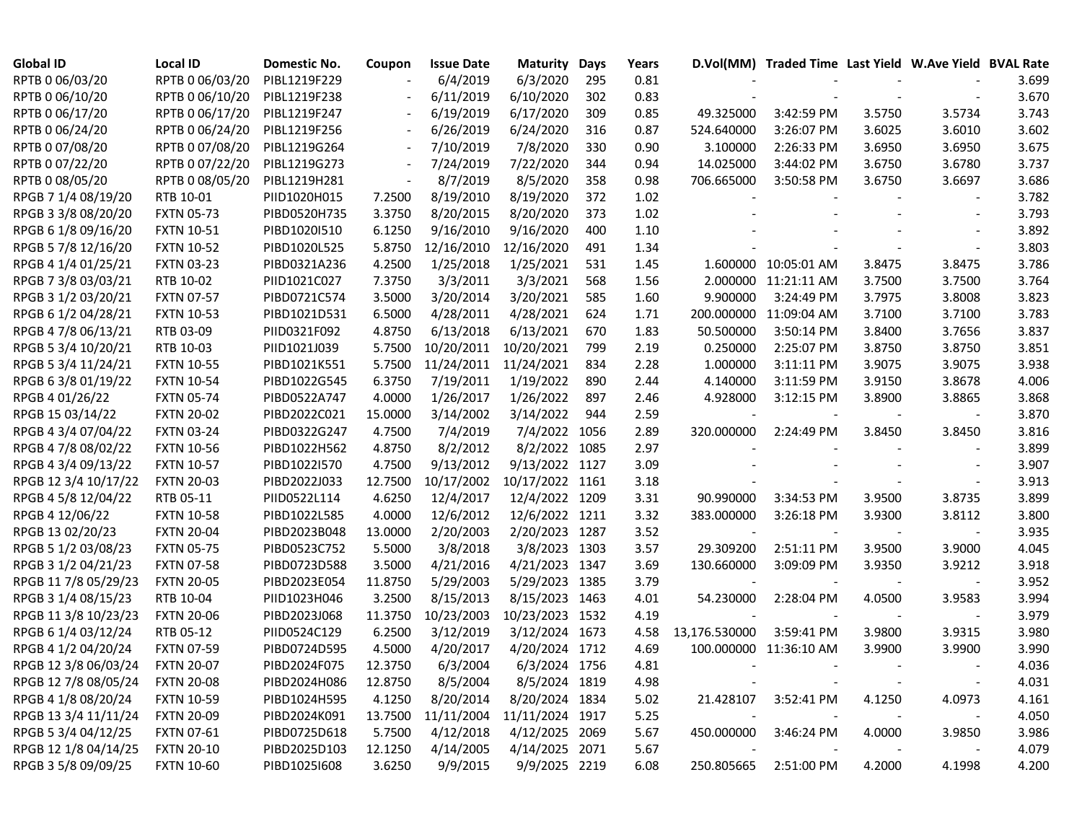| <b>Global ID</b>     | Local ID          | Domestic No. | Coupon                   | <b>Issue Date</b> | Maturity        | Days | Years |                          | D.Vol(MM) Traded Time Last Yield W.Ave Yield BVAL Rate |        |        |       |
|----------------------|-------------------|--------------|--------------------------|-------------------|-----------------|------|-------|--------------------------|--------------------------------------------------------|--------|--------|-------|
| RPTB 0 06/03/20      | RPTB 0 06/03/20   | PIBL1219F229 |                          | 6/4/2019          | 6/3/2020        | 295  | 0.81  |                          |                                                        |        |        | 3.699 |
| RPTB 0 06/10/20      | RPTB 0 06/10/20   | PIBL1219F238 | $\overline{\phantom{a}}$ | 6/11/2019         | 6/10/2020       | 302  | 0.83  |                          |                                                        |        |        | 3.670 |
| RPTB 0 06/17/20      | RPTB 0 06/17/20   | PIBL1219F247 | $\overline{\phantom{a}}$ | 6/19/2019         | 6/17/2020       | 309  | 0.85  | 49.325000                | 3:42:59 PM                                             | 3.5750 | 3.5734 | 3.743 |
| RPTB 0 06/24/20      | RPTB 0 06/24/20   | PIBL1219F256 | $\blacksquare$           | 6/26/2019         | 6/24/2020       | 316  | 0.87  | 524.640000               | 3:26:07 PM                                             | 3.6025 | 3.6010 | 3.602 |
| RPTB 0 07/08/20      | RPTB 0 07/08/20   | PIBL1219G264 |                          | 7/10/2019         | 7/8/2020        | 330  | 0.90  | 3.100000                 | 2:26:33 PM                                             | 3.6950 | 3.6950 | 3.675 |
| RPTB 0 07/22/20      | RPTB 0 07/22/20   | PIBL1219G273 |                          | 7/24/2019         | 7/22/2020       | 344  | 0.94  | 14.025000                | 3:44:02 PM                                             | 3.6750 | 3.6780 | 3.737 |
| RPTB 0 08/05/20      | RPTB 0 08/05/20   | PIBL1219H281 |                          | 8/7/2019          | 8/5/2020        | 358  | 0.98  | 706.665000               | 3:50:58 PM                                             | 3.6750 | 3.6697 | 3.686 |
| RPGB 7 1/4 08/19/20  | RTB 10-01         | PIID1020H015 | 7.2500                   | 8/19/2010         | 8/19/2020       | 372  | 1.02  |                          |                                                        |        |        | 3.782 |
| RPGB 3 3/8 08/20/20  | <b>FXTN 05-73</b> | PIBD0520H735 | 3.3750                   | 8/20/2015         | 8/20/2020       | 373  | 1.02  |                          |                                                        |        |        | 3.793 |
| RPGB 6 1/8 09/16/20  | <b>FXTN 10-51</b> | PIBD1020I510 | 6.1250                   | 9/16/2010         | 9/16/2020       | 400  | 1.10  |                          |                                                        |        |        | 3.892 |
| RPGB 5 7/8 12/16/20  | <b>FXTN 10-52</b> | PIBD1020L525 | 5.8750                   | 12/16/2010        | 12/16/2020      | 491  | 1.34  |                          |                                                        |        |        | 3.803 |
| RPGB 4 1/4 01/25/21  | <b>FXTN 03-23</b> | PIBD0321A236 | 4.2500                   | 1/25/2018         | 1/25/2021       | 531  | 1.45  |                          | 1.600000 10:05:01 AM                                   | 3.8475 | 3.8475 | 3.786 |
| RPGB 7 3/8 03/03/21  | RTB 10-02         | PIID1021C027 | 7.3750                   | 3/3/2011          | 3/3/2021        | 568  | 1.56  |                          | 2.000000 11:21:11 AM                                   | 3.7500 | 3.7500 | 3.764 |
| RPGB 3 1/2 03/20/21  | <b>FXTN 07-57</b> | PIBD0721C574 | 3.5000                   | 3/20/2014         | 3/20/2021       | 585  | 1.60  | 9.900000                 | 3:24:49 PM                                             | 3.7975 | 3.8008 | 3.823 |
| RPGB 6 1/2 04/28/21  | <b>FXTN 10-53</b> | PIBD1021D531 | 6.5000                   | 4/28/2011         | 4/28/2021       | 624  | 1.71  |                          | 200.000000 11:09:04 AM                                 | 3.7100 | 3.7100 | 3.783 |
| RPGB 4 7/8 06/13/21  | RTB 03-09         | PIID0321F092 | 4.8750                   | 6/13/2018         | 6/13/2021       | 670  | 1.83  | 50.500000                | 3:50:14 PM                                             | 3.8400 | 3.7656 | 3.837 |
| RPGB 5 3/4 10/20/21  | RTB 10-03         | PIID1021J039 | 5.7500                   | 10/20/2011        | 10/20/2021      | 799  | 2.19  | 0.250000                 | 2:25:07 PM                                             | 3.8750 | 3.8750 | 3.851 |
| RPGB 5 3/4 11/24/21  | <b>FXTN 10-55</b> | PIBD1021K551 | 5.7500                   | 11/24/2011        | 11/24/2021      | 834  | 2.28  | 1.000000                 | 3:11:11 PM                                             | 3.9075 | 3.9075 | 3.938 |
| RPGB 63/8 01/19/22   | <b>FXTN 10-54</b> | PIBD1022G545 | 6.3750                   | 7/19/2011         | 1/19/2022       | 890  | 2.44  | 4.140000                 | 3:11:59 PM                                             | 3.9150 | 3.8678 | 4.006 |
| RPGB 4 01/26/22      | <b>FXTN 05-74</b> | PIBD0522A747 | 4.0000                   | 1/26/2017         | 1/26/2022       | 897  | 2.46  | 4.928000                 | 3:12:15 PM                                             | 3.8900 | 3.8865 | 3.868 |
| RPGB 15 03/14/22     | <b>FXTN 20-02</b> | PIBD2022C021 | 15.0000                  | 3/14/2002         | 3/14/2022       | 944  | 2.59  |                          |                                                        |        |        | 3.870 |
| RPGB 4 3/4 07/04/22  | <b>FXTN 03-24</b> | PIBD0322G247 | 4.7500                   | 7/4/2019          | 7/4/2022        | 1056 | 2.89  | 320.000000               | 2:24:49 PM                                             | 3.8450 | 3.8450 | 3.816 |
| RPGB 4 7/8 08/02/22  | <b>FXTN 10-56</b> | PIBD1022H562 | 4.8750                   | 8/2/2012          | 8/2/2022        | 1085 | 2.97  |                          |                                                        |        |        | 3.899 |
| RPGB 4 3/4 09/13/22  | <b>FXTN 10-57</b> | PIBD1022I570 | 4.7500                   | 9/13/2012         | 9/13/2022       | 1127 | 3.09  |                          |                                                        |        |        | 3.907 |
| RPGB 12 3/4 10/17/22 | <b>FXTN 20-03</b> | PIBD2022J033 | 12.7500                  | 10/17/2002        | 10/17/2022      | 1161 | 3.18  |                          |                                                        |        |        | 3.913 |
| RPGB 4 5/8 12/04/22  | RTB 05-11         | PIID0522L114 | 4.6250                   | 12/4/2017         | 12/4/2022 1209  |      | 3.31  | 90.990000                | 3:34:53 PM                                             | 3.9500 | 3.8735 | 3.899 |
| RPGB 4 12/06/22      | <b>FXTN 10-58</b> | PIBD1022L585 | 4.0000                   | 12/6/2012         | 12/6/2022 1211  |      | 3.32  | 383.000000               | 3:26:18 PM                                             | 3.9300 | 3.8112 | 3.800 |
| RPGB 13 02/20/23     | <b>FXTN 20-04</b> | PIBD2023B048 | 13.0000                  | 2/20/2003         | 2/20/2023       | 1287 | 3.52  |                          |                                                        |        |        | 3.935 |
| RPGB 5 1/2 03/08/23  | <b>FXTN 05-75</b> | PIBD0523C752 | 5.5000                   | 3/8/2018          | 3/8/2023 1303   |      | 3.57  | 29.309200                | 2:51:11 PM                                             | 3.9500 | 3.9000 | 4.045 |
| RPGB 3 1/2 04/21/23  | <b>FXTN 07-58</b> | PIBD0723D588 | 3.5000                   | 4/21/2016         | 4/21/2023 1347  |      | 3.69  | 130.660000               | 3:09:09 PM                                             | 3.9350 | 3.9212 | 3.918 |
| RPGB 11 7/8 05/29/23 | <b>FXTN 20-05</b> | PIBD2023E054 | 11.8750                  | 5/29/2003         | 5/29/2023 1385  |      | 3.79  |                          |                                                        |        |        | 3.952 |
| RPGB 3 1/4 08/15/23  | RTB 10-04         | PIID1023H046 | 3.2500                   | 8/15/2013         | 8/15/2023 1463  |      | 4.01  | 54.230000                | 2:28:04 PM                                             | 4.0500 | 3.9583 | 3.994 |
| RPGB 11 3/8 10/23/23 | <b>FXTN 20-06</b> | PIBD2023J068 | 11.3750                  | 10/23/2003        | 10/23/2023 1532 |      | 4.19  |                          |                                                        |        |        | 3.979 |
| RPGB 6 1/4 03/12/24  | RTB 05-12         | PIID0524C129 | 6.2500                   | 3/12/2019         | 3/12/2024 1673  |      | 4.58  | 13,176.530000            | 3:59:41 PM                                             | 3.9800 | 3.9315 | 3.980 |
| RPGB 4 1/2 04/20/24  | <b>FXTN 07-59</b> | PIBD0724D595 | 4.5000                   | 4/20/2017         | 4/20/2024 1712  |      | 4.69  |                          | 100.000000 11:36:10 AM                                 | 3.9900 | 3.9900 | 3.990 |
| RPGB 12 3/8 06/03/24 | <b>FXTN 20-07</b> | PIBD2024F075 | 12.3750                  | 6/3/2004          | 6/3/2024 1756   |      | 4.81  |                          |                                                        |        |        | 4.036 |
| RPGB 12 7/8 08/05/24 | <b>FXTN 20-08</b> | PIBD2024H086 | 12.8750                  | 8/5/2004          | 8/5/2024 1819   |      | 4.98  |                          |                                                        |        |        | 4.031 |
| RPGB 4 1/8 08/20/24  | <b>FXTN 10-59</b> | PIBD1024H595 | 4.1250                   | 8/20/2014         | 8/20/2024 1834  |      | 5.02  | 21.428107                | 3:52:41 PM                                             | 4.1250 | 4.0973 | 4.161 |
| RPGB 13 3/4 11/11/24 | <b>FXTN 20-09</b> | PIBD2024K091 | 13.7500                  | 11/11/2004        | 11/11/2024 1917 |      | 5.25  |                          |                                                        |        |        | 4.050 |
| RPGB 5 3/4 04/12/25  | <b>FXTN 07-61</b> | PIBD0725D618 | 5.7500                   | 4/12/2018         | 4/12/2025 2069  |      | 5.67  | 450.000000               | 3:46:24 PM                                             | 4.0000 | 3.9850 | 3.986 |
| RPGB 12 1/8 04/14/25 | <b>FXTN 20-10</b> | PIBD2025D103 | 12.1250                  | 4/14/2005         | 4/14/2025 2071  |      | 5.67  | $\overline{\phantom{a}}$ |                                                        |        |        | 4.079 |
| RPGB 3 5/8 09/09/25  | <b>FXTN 10-60</b> | PIBD1025I608 | 3.6250                   | 9/9/2015          | 9/9/2025 2219   |      | 6.08  | 250.805665               | 2:51:00 PM                                             | 4.2000 | 4.1998 | 4.200 |